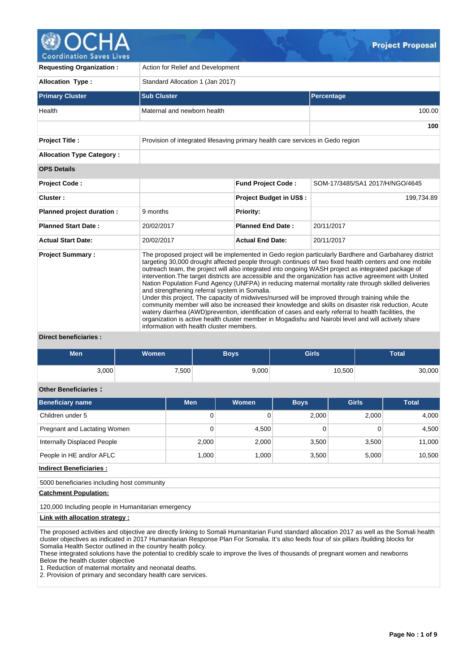

| <b>Requesting Organization:</b>  | Action for Relief and Development                                                         |                                                                                |                                                                                                                                                                                                                                                                                                                                                                                                                                                                                                                                                                                                                                                                                                                                                                                                                                                                                                                                                                    |  |  |  |  |  |
|----------------------------------|-------------------------------------------------------------------------------------------|--------------------------------------------------------------------------------|--------------------------------------------------------------------------------------------------------------------------------------------------------------------------------------------------------------------------------------------------------------------------------------------------------------------------------------------------------------------------------------------------------------------------------------------------------------------------------------------------------------------------------------------------------------------------------------------------------------------------------------------------------------------------------------------------------------------------------------------------------------------------------------------------------------------------------------------------------------------------------------------------------------------------------------------------------------------|--|--|--|--|--|
| <b>Allocation Type:</b>          | Standard Allocation 1 (Jan 2017)                                                          |                                                                                |                                                                                                                                                                                                                                                                                                                                                                                                                                                                                                                                                                                                                                                                                                                                                                                                                                                                                                                                                                    |  |  |  |  |  |
| <b>Primary Cluster</b>           | <b>Sub Cluster</b>                                                                        |                                                                                | Percentage                                                                                                                                                                                                                                                                                                                                                                                                                                                                                                                                                                                                                                                                                                                                                                                                                                                                                                                                                         |  |  |  |  |  |
| Health                           | Maternal and newborn health                                                               |                                                                                | 100.00                                                                                                                                                                                                                                                                                                                                                                                                                                                                                                                                                                                                                                                                                                                                                                                                                                                                                                                                                             |  |  |  |  |  |
|                                  |                                                                                           |                                                                                | 100                                                                                                                                                                                                                                                                                                                                                                                                                                                                                                                                                                                                                                                                                                                                                                                                                                                                                                                                                                |  |  |  |  |  |
| <b>Project Title:</b>            |                                                                                           | Provision of integrated lifesaving primary health care services in Gedo region |                                                                                                                                                                                                                                                                                                                                                                                                                                                                                                                                                                                                                                                                                                                                                                                                                                                                                                                                                                    |  |  |  |  |  |
| <b>Allocation Type Category:</b> |                                                                                           |                                                                                |                                                                                                                                                                                                                                                                                                                                                                                                                                                                                                                                                                                                                                                                                                                                                                                                                                                                                                                                                                    |  |  |  |  |  |
| <b>OPS Details</b>               |                                                                                           |                                                                                |                                                                                                                                                                                                                                                                                                                                                                                                                                                                                                                                                                                                                                                                                                                                                                                                                                                                                                                                                                    |  |  |  |  |  |
| <b>Project Code:</b>             |                                                                                           | <b>Fund Project Code:</b>                                                      | SOM-17/3485/SA1 2017/H/NGO/4645                                                                                                                                                                                                                                                                                                                                                                                                                                                                                                                                                                                                                                                                                                                                                                                                                                                                                                                                    |  |  |  |  |  |
| Cluster:                         |                                                                                           | <b>Project Budget in US\$:</b>                                                 | 199,734.89                                                                                                                                                                                                                                                                                                                                                                                                                                                                                                                                                                                                                                                                                                                                                                                                                                                                                                                                                         |  |  |  |  |  |
| Planned project duration :       | 9 months                                                                                  | <b>Priority:</b>                                                               |                                                                                                                                                                                                                                                                                                                                                                                                                                                                                                                                                                                                                                                                                                                                                                                                                                                                                                                                                                    |  |  |  |  |  |
| <b>Planned Start Date:</b>       | 20/02/2017                                                                                | <b>Planned End Date:</b>                                                       | 20/11/2017                                                                                                                                                                                                                                                                                                                                                                                                                                                                                                                                                                                                                                                                                                                                                                                                                                                                                                                                                         |  |  |  |  |  |
| <b>Actual Start Date:</b>        | 20/02/2017                                                                                | <b>Actual End Date:</b>                                                        | 20/11/2017                                                                                                                                                                                                                                                                                                                                                                                                                                                                                                                                                                                                                                                                                                                                                                                                                                                                                                                                                         |  |  |  |  |  |
| <b>Project Summary:</b><br>.     | and strengthening referral system in Somalia.<br>information with health cluster members. |                                                                                | The proposed project will be implemented in Gedo region particularly Bardhere and Garbaharey district<br>targeting 30,000 drought affected people through continues of two fixed health centers and one mobile<br>outreach team, the project will also integrated into ongoing WASH project as integrated package of<br>intervention. The target districts are accessible and the organization has active agreement with United<br>Nation Population Fund Agency (UNFPA) in reducing maternal mortality rate through skilled deliveries<br>Under this project, The capacity of midwives/nursed will be improved through training while the<br>community member will also be increased their knowledge and skills on disaster risk reduction, Acute<br>watery diarrhea (AWD)prevention, identification of cases and early referral to health facilities, the<br>organization is active health cluster member in Mogadishu and Nairobi level and will actively share |  |  |  |  |  |

#### **Direct beneficiaries :**

| Men   | Women | Boys  | <b>Girls</b> | Total  |
|-------|-------|-------|--------------|--------|
| 3,000 | 7,500 | 9,000 | 10,500       | 30,000 |

# **Other Beneficiaries :**

| <b>Beneficiary name</b>      | <b>Men</b> | Women | <b>Boys</b> | <b>Girls</b> | <b>Total</b> |
|------------------------------|------------|-------|-------------|--------------|--------------|
| Children under 5             | 0          |       | 2.000       | 2.000        | 4,000        |
| Pregnant and Lactating Women | 0          | 4.500 |             |              | 4,500        |
| Internally Displaced People  | 2,000      | 2,000 | 3.500       | 3.500        | 11,000       |
| People in HE and/or AFLC     | 1.000      | 1,000 | 3,500       | 5,000        | 10,500       |

**Indirect Beneficiaries :**

5000 beneficiaries including host community

#### **Catchment Population:**

120,000 Including people in Humanitarian emergency

#### **Link with allocation strategy :**

The proposed activities and objective are directly linking to Somali Humanitarian Fund standard allocation 2017 as well as the Somali health cluster objectives as indicated in 2017 Humanitarian Response Plan For Somalia. It's also feeds four of six pillars /building blocks for Somalia Health Sector outlined in the country health policy.

These integrated solutions have the potential to credibly scale to improve the lives of thousands of pregnant women and newborns

Below the health cluster objective

1. Reduction of maternal mortality and neonatal deaths.

2. Provision of primary and secondary health care services.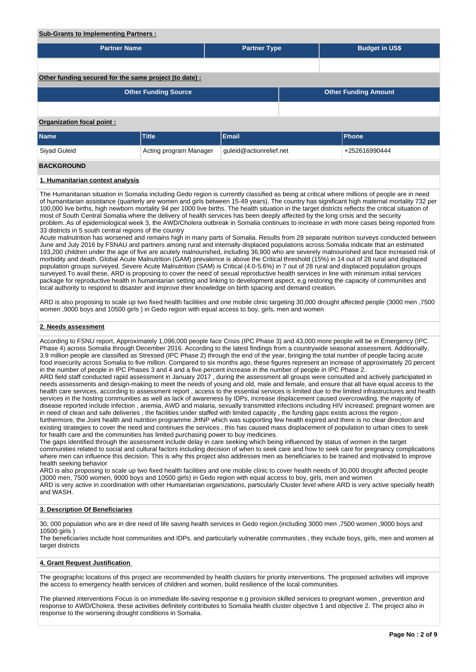#### **Sub-Grants to Implementing Partners :**

| <b>Partner Name</b>                                    |                             | <b>Partner Type</b>     |                             | <b>Budget in US\$</b> |  |  |  |  |
|--------------------------------------------------------|-----------------------------|-------------------------|-----------------------------|-----------------------|--|--|--|--|
|                                                        |                             |                         |                             |                       |  |  |  |  |
| Other funding secured for the same project (to date) : |                             |                         |                             |                       |  |  |  |  |
|                                                        | <b>Other Funding Source</b> |                         | <b>Other Funding Amount</b> |                       |  |  |  |  |
|                                                        |                             |                         |                             |                       |  |  |  |  |
| Organization focal point:                              |                             |                         |                             |                       |  |  |  |  |
| <b>Name</b>                                            | <b>Title</b>                | Email                   |                             | Phone                 |  |  |  |  |
| Siyad Guleid                                           | Acting program Manager      | guleid@actionrelief.net | +252616990444               |                       |  |  |  |  |
| <b>BACKGROUND</b>                                      |                             |                         |                             |                       |  |  |  |  |

#### **1. Humanitarian context analysis**

The Humanitarian situation in Somalia including Gedo region is currently classified as being at critical where millions of people are in need of humanitarian assistance (quarterly are women and girls between 15-49 years), The country has significant high maternal mortality 732 per 100,000 live births, high newborn mortality 94 per 1000 live births. The health situation in the target districts reflects the critical situation of most of South Central Somalia where the delivery of health services has been deeply affected by the long crisis and the security problem..As of epidemiological week 3, the AWD/Cholera outbreak in Somalia continues to increase in with more cases being reported from 33 districts in 5 south central regions of the country

Acute malnutrition has worsened and remains high in many parts of Somalia. Results from 28 separate nutrition surveys conducted between June and July 2016 by FSNAU and partners among rural and internally displaced populations across Somalia indicate that an estimated 193,200 children under the age of five are acutely malnourished, including 36,900 who are severely malnourished and face increased risk of morbidity and death. Global Acute Malnutrition (GAM) prevalence is above the Critical threshold (15%) in 14 out of 28 rural and displaced population groups surveyed. Severe Acute Malnutrition (SAM) is Critical (4.0-5.6%) in 7 out of 28 rural and displaced population groups surveyed.To avail these, ARD is proposing to cover the need of sexual reproductive health services in line with minimum initial services package for reproductive health in humanitarian setting and linking to development aspect, e,g restoring the capacity of communities and local authority to respond to disaster and improve their knowledge on birth spacing and demand creation.

ARD is also proposing to scale up two fixed health facilities and one mobile clinic targeting 30,000 drought affected people (3000 men ,7500 women ,9000 boys and 10500 girls ) in Gedo region with equal access to boy, girls, men and women

#### **2. Needs assessment**

According to FSNU report, Approximately 1,096,000 people face Crisis (IPC Phase 3) and 43,000 more people will be in Emergency (IPC Phase 4) across Somalia through December 2016. According to the latest findings from a countrywide seasonal assessment. Additionally, 3.9 million people are classified as Stressed (IPC Phase 2) through the end of the year, bringing the total number of people facing acute food insecurity across Somalia to five million. Compared to six months ago, these figures represent an increase of approximately 20 percent in the number of people in IPC Phases 3 and 4 and a five percent increase in the number of people in IPC Phase 2.

ARD field staff conducted rapid assessment in January 2017 , during the assessment all groups were consulted and actively participated in needs assessments and design-making to meet the needs of young and old, male and female, and ensure that all have equal access to the health care services, according to assessment report , access to the essential services is limited due to the limited infrastructures and health services in the hosting communities as well as lack of awareness by IDPs, increase displacement caused overcrowding, the majority of disease reported include infection , anemia, AWD and malaria, sexually transmitted infections including HIV increased; pregnant women are in need of clean and safe deliveries , the facilities under staffed with limited capacity , the funding gaps exists across the region , furthermore, the Joint health and nutrition programme JHNP which was supporting few health expired and there is no clear direction and existing strategies to cover the need and continues the services , this has caused mass displacement of population to urban cities to seek for health care and the communities has limited purchasing power to buy medicines.

The gaps identified through the assessment include delay in care seeking which being influenced by status of women in the target communities related to social and cultural factors including decision of when to seek care and how to seek care for pregnancy complications where men can influence this decision. This is why this project also addresses men as beneficiaries to be trained and motivated to improve health seeking behavior

ARD is also proposing to scale up two fixed health facilities and one mobile clinic to cover health needs of 30,000 drought affected people (3000 men, 7500 women, 9000 boys and 10500 girls) in Gedo region with equal access to boy, girls, men and women ARD is very active in coordination with other Humanitarian organizations, particularly Cluster level where ARD is very active specially health and WASH.

#### **3. Description Of Beneficiaries**

30, 000 population who are in dire need of life saving health services in Gedo region.(including 3000 men ,7500 women ,9000 boys and 10500 girls )

The beneficiaries include host communities and IDPs, and particularly vulnerable communities, they include boys, girls, men and women at target districts

#### **4. Grant Request Justification**

The geographic locations of this project are recommended by health clusters for priority interventions. The proposed activities will improve the access to emergency health services of children and women, build resilience of the local communities.

The planned interventions Focus is on immediate life-saving response e.g provision skilled services to pregnant women , prevention and response to AWD/Cholera. these activities definitely contributes to Somalia health cluster objective 1 and objective 2. The project also in response to the worsening drought conditions in Somalia.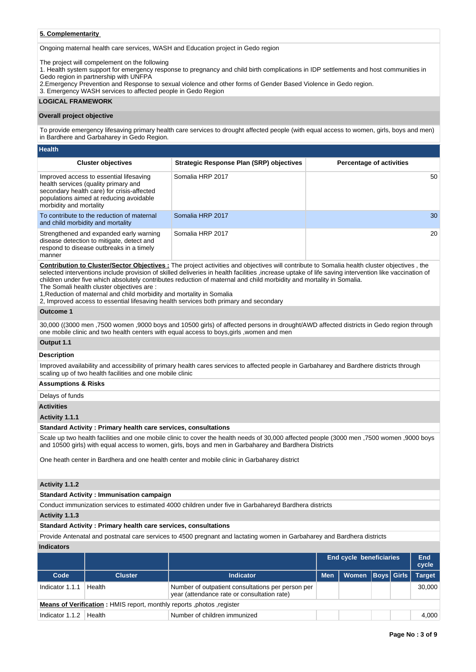## **5. Complementarity**

Ongoing maternal health care services, WASH and Education project in Gedo region

The project will compelement on the following

1. Health system support for emergency response to pregnancy and child birth complications in IDP settlements and host communities in Gedo region in partnership with UNFPA

2.Emergency Prevention and Response to sexual violence and other forms of Gender Based Violence in Gedo region.

3. Emergency WASH services to affected people in Gedo Region

#### **LOGICAL FRAMEWORK**

#### **Overall project objective**

To provide emergency lifesaving primary health care services to drought affected people (with equal access to women, girls, boys and men) in Bardhere and Garbaharey in Gedo Region.

| <b>Health</b>                                                                                                                                                                                       |                                                 |                                 |
|-----------------------------------------------------------------------------------------------------------------------------------------------------------------------------------------------------|-------------------------------------------------|---------------------------------|
| <b>Cluster objectives</b>                                                                                                                                                                           | <b>Strategic Response Plan (SRP) objectives</b> | <b>Percentage of activities</b> |
| Improved access to essential lifesaving<br>health services (quality primary and<br>secondary health care) for crisis-affected<br>populations aimed at reducing avoidable<br>morbidity and mortality | Somalia HRP 2017                                | 50                              |
| To contribute to the reduction of maternal<br>and child morbidity and mortality                                                                                                                     | Somalia HRP 2017                                | 30                              |
| Strengthened and expanded early warning<br>disease detection to mitigate, detect and<br>respond to disease outbreaks in a timely<br>manner                                                          | Somalia HRP 2017                                | 20                              |

**Contribution to Cluster/Sector Objectives :** The project activities and objectives will contribute to Somalia health cluster objectives , the selected interventions include provision of skilled deliveries in health facilities ,increase uptake of life saving intervention like vaccination of children under five which absolutely contributes reduction of maternal and child morbidity and mortality in Somalia.

The Somali health cluster objectives are :

1,Reduction of maternal and child morbidity and mortality in Somalia

2, Improved access to essential lifesaving health services both primary and secondary

### **Outcome 1**

30,000 ((3000 men ,7500 women ,9000 boys and 10500 girls) of affected persons in drought/AWD affected districts in Gedo region through one mobile clinic and two health centers with equal access to boys,girls ,women and men

### **Output 1.1**

#### **Description**

Improved availability and accessibility of primary health cares services to affected people in Garbaharey and Bardhere districts through scaling up of two health facilities and one mobile clinic

#### **Assumptions & Risks**

Delays of funds

#### **Activities**

**Activity 1.1.1** 

#### **Standard Activity : Primary health care services, consultations**

Scale up two health facilities and one mobile clinic to cover the health needs of 30,000 affected people (3000 men ,7500 women ,9000 boys and 10500 girls) with equal access to women, girls, boys and men in Garbaharey and Bardhera Districts

One heath center in Bardhera and one health center and mobile clinic in Garbaharey district

#### **Activity 1.1.2**

#### **Standard Activity : Immunisation campaign**

Conduct immunization services to estimated 4000 children under five in Garbahareyd Bardhera districts

#### **Activity 1.1.3**

#### **Standard Activity : Primary health care services, consultations**

Provide Antenatal and postnatal care services to 4500 pregnant and lactating women in Garbaharey and Bardhera districts **Indicators**

|                   |                                                                       |                                                                                                  |            | End cycle beneficiaries |  | End<br>cycle  |
|-------------------|-----------------------------------------------------------------------|--------------------------------------------------------------------------------------------------|------------|-------------------------|--|---------------|
| Code              | <b>Cluster</b>                                                        | <b>Indicator</b>                                                                                 | <b>Men</b> | Women   Boys   Girls    |  | <b>Target</b> |
| Indicator 1.1.1   | Health                                                                | Number of outpatient consultations per person per<br>year (attendance rate or consultation rate) |            |                         |  | 30,000        |
|                   | Means of Verification: HMIS report, monthly reports, photos, register |                                                                                                  |            |                         |  |               |
| Indicator $1.1.2$ | Health                                                                | Number of children immunized                                                                     |            |                         |  | 4.000         |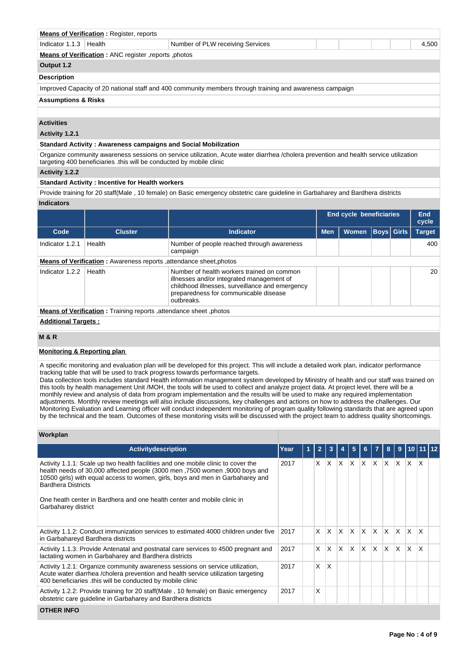| <b>Means of Verification: Register, reports</b>                                                          |                                                       |  |  |  |  |  |       |  |  |
|----------------------------------------------------------------------------------------------------------|-------------------------------------------------------|--|--|--|--|--|-------|--|--|
| Indicator $1.1.3$ Health<br>Number of PLW receiving Services                                             |                                                       |  |  |  |  |  | 4,500 |  |  |
|                                                                                                          | Means of Verification : ANC register, reports, photos |  |  |  |  |  |       |  |  |
| Output 1.2                                                                                               |                                                       |  |  |  |  |  |       |  |  |
| <b>Description</b>                                                                                       |                                                       |  |  |  |  |  |       |  |  |
| Improved Capacity of 20 national staff and 400 community members through training and awareness campaign |                                                       |  |  |  |  |  |       |  |  |
|                                                                                                          | <b>Assumptions &amp; Risks</b>                        |  |  |  |  |  |       |  |  |

#### **Activities**

#### **Activity 1.2.1**

#### **Standard Activity : Awareness campaigns and Social Mobilization**

Organize community awareness sessions on service utilization, Acute water diarrhea /cholera prevention and health service utilization targeting 400 beneficiaries .this will be conducted by mobile clinic

#### **Activity 1.2.2**

#### **Standard Activity : Incentive for Health workers**

Provide training for 20 staff(Male , 10 female) on Basic emergency obstetric care guideline in Garbaharey and Bardhera districts **Indicators**

|                                                                   |                                                                    |                                                                                                                                                                                                   |            | <b>End cycle beneficiaries</b> |  |                   | End<br>cycle  |  |  |  |
|-------------------------------------------------------------------|--------------------------------------------------------------------|---------------------------------------------------------------------------------------------------------------------------------------------------------------------------------------------------|------------|--------------------------------|--|-------------------|---------------|--|--|--|
| Code                                                              | <b>Cluster</b>                                                     | <b>Indicator</b>                                                                                                                                                                                  | <b>Men</b> | <b>Women</b>                   |  | <b>Boys</b> Girls | <b>Target</b> |  |  |  |
| Indicator 1.2.1                                                   | Health                                                             | Number of people reached through awareness<br>campaign                                                                                                                                            |            |                                |  |                   | 400           |  |  |  |
|                                                                   | Means of Verification: Awareness reports, attendance sheet, photos |                                                                                                                                                                                                   |            |                                |  |                   |               |  |  |  |
| Indicator 1.2.2                                                   | Health                                                             | Number of health workers trained on common<br>illnesses and/or integrated management of<br>childhood illnesses, surveillance and emergency<br>preparedness for communicable disease<br>outbreaks. |            |                                |  |                   | 20            |  |  |  |
| Means of Verification: Training reports, attendance sheet, photos |                                                                    |                                                                                                                                                                                                   |            |                                |  |                   |               |  |  |  |
|                                                                   | <b>Additional Targets:</b>                                         |                                                                                                                                                                                                   |            |                                |  |                   |               |  |  |  |

# **M & R**

#### **Monitoring & Reporting plan**

A specific monitoring and evaluation plan will be developed for this project. This will include a detailed work plan, indicator performance tracking table that will be used to track progress towards performance targets.

Data collection tools includes standard Health information management system developed by Ministry of health and our staff was trained on this tools by health management Unit /MOH, the tools will be used to collect and analyze project data. At project level, there will be a monthly review and analysis of data from program implementation and the results will be used to make any required implementation adjustments. Monthly review meetings will also include discussions, key challenges and actions on how to address the challenges. Our Monitoring Evaluation and Learning officer will conduct independent monitoring of program quality following standards that are agreed upon by the technical and the team. Outcomes of these monitoring visits will be discussed with the project team to address quality shortcomings.

#### **Workplan**

| Activitydescription                                                                                                                                                                                                                                                                                                                                                               | Year | $\overline{2}$ | 3            |     | 5            | 6        |     | 8            | 9            | 10111    |              |  |
|-----------------------------------------------------------------------------------------------------------------------------------------------------------------------------------------------------------------------------------------------------------------------------------------------------------------------------------------------------------------------------------|------|----------------|--------------|-----|--------------|----------|-----|--------------|--------------|----------|--------------|--|
| Activity 1.1.1: Scale up two health facilities and one mobile clinic to cover the<br>health needs of 30,000 affected people (3000 men, 7500 women, 9000 boys and<br>10500 girls) with equal access to women, girls, boys and men in Garbaharey and<br><b>Bardhera Districts</b><br>One heath center in Bardhera and one health center and mobile clinic in<br>Garbaharey district | 2017 | X.             | $\mathsf{X}$ | ΙX. | $\mathsf{X}$ | <b>X</b> | ΙX. | ΙX.          | $\mathsf{X}$ | <b>X</b> | ΙX.          |  |
| Activity 1.1.2: Conduct immunization services to estimated 4000 children under five<br>in Garbahareyd Bardhera districts                                                                                                                                                                                                                                                          | 2017 | X              | X.           | ΙX. | X.           | $\times$ | X   | $\mathsf{X}$ | $\mathsf{X}$ | X        | $\mathsf{x}$ |  |
| Activity 1.1.3: Provide Antenatal and postnatal care services to 4500 pregnant and<br>lactating women in Garbaharey and Bardhera districts                                                                                                                                                                                                                                        | 2017 | X              | X            | ΙX. | $\times$     | $\times$ | X   | ΙX.          | $\mathsf{X}$ | X        | $\mathsf{x}$ |  |
| Activity 1.2.1: Organize community awareness sessions on service utilization,<br>Acute water diarrhea /cholera prevention and health service utilization targeting<br>400 beneficiaries this will be conducted by mobile clinic                                                                                                                                                   | 2017 | X              | X            |     |              |          |     |              |              |          |              |  |
| Activity 1.2.2: Provide training for 20 staff (Male, 10 female) on Basic emergency<br>obstetric care quideline in Garbaharey and Bardhera districts                                                                                                                                                                                                                               | 2017 | X              |              |     |              |          |     |              |              |          |              |  |
| <b>OTHER INFO</b>                                                                                                                                                                                                                                                                                                                                                                 |      |                |              |     |              |          |     |              |              |          |              |  |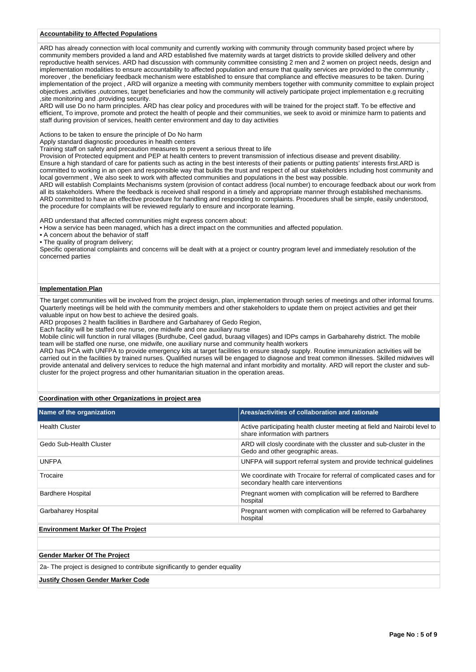#### **Accountability to Affected Populations**

ARD has already connection with local community and currently working with community through community based project where by community members provided a land and ARD established five maternity wards at target districts to provide skilled delivery and other reproductive health services. ARD had discussion with community committee consisting 2 men and 2 women on project needs, design and implementation modalities to ensure accountability to affected population and ensure that quality services are provided to the community , moreover , the beneficiary feedback mechanism were established to ensure that compliance and effective measures to be taken. During implementation of the project , ARD will organize a meeting with community members together with community committee to explain project objectives ,activities ,outcomes, target beneficiaries and how the community will actively participate project implementation e.g recruiting ,site monitoring and .providing security.

ARD will use Do no harm principles. ARD has clear policy and procedures with will be trained for the project staff. To be effective and efficient, To improve, promote and protect the health of people and their communities, we seek to avoid or minimize harm to patients and staff during provision of services, health center environment and day to day activities

Actions to be taken to ensure the principle of Do No harm

Apply standard diagnostic procedures in health centers

Training staff on safety and precaution measures to prevent a serious threat to life

Provision of Protected equipment and PEP at health centers to prevent transmission of infectious disease and prevent disability.

Ensure a high standard of care for patients such as acting in the best interests of their patients or putting patients' interests first.ARD is committed to working in an open and responsible way that builds the trust and respect of all our stakeholders including host community and local government , We also seek to work with affected communities and populations in the best way possible.

ARD will establish Complaints Mechanisms system (provision of contact address (local number) to encourage feedback about our work from all its stakeholders. Where the feedback is received shall respond in a timely and appropriate manner through established mechanisms. ARD committed to have an effective procedure for handling and responding to complaints. Procedures shall be simple, easily understood, the procedure for complaints will be reviewed regularly to ensure and incorporate learning.

ARD understand that affected communities might express concern about:

• How a service has been managed, which has a direct impact on the communities and affected population.

• A concern about the behavior of staff

• The quality of program delivery;

Specific operational complaints and concerns will be dealt with at a project or country program level and immediately resolution of the concerned parties

#### **Implementation Plan**

The target communities will be involved from the project design, plan, implementation through series of meetings and other informal forums. Quarterly meetings will be held with the community members and other stakeholders to update them on project activities and get their valuable input on how best to achieve the desired goals.

ARD proposes 2 health facilities in Bardhere and Garbaharey of Gedo Region,

Each facility will be staffed one nurse, one midwife and one auxiliary nurse

Mobile clinic will function in rural villages (Burdhube, Ceel gadud, buraag villages) and IDPs camps in Garbaharehy district. The mobile team will be staffed one nurse, one midwife, one auxiliary nurse and community health workers

ARD has PCA with UNFPA to provide emergency kits at target facilities to ensure steady supply. Routine immunization activities will be carried out in the facilities by trained nurses. Qualified nurses will be engaged to diagnose and treat common illnesses. Skilled midwives will provide antenatal and delivery services to reduce the high maternal and infant morbidity and mortality. ARD will report the cluster and subcluster for the project progress and other humanitarian situation in the operation areas.

#### **Coordination with other Organizations in project area**

| Name of the organization                                                   | Areas/activities of collaboration and rationale                                                              |
|----------------------------------------------------------------------------|--------------------------------------------------------------------------------------------------------------|
| <b>Health Cluster</b>                                                      | Active participating health cluster meeting at field and Nairobi level to<br>share information with partners |
| Gedo Sub-Health Cluster                                                    | ARD will closly coordinate with the clusster and sub-cluster in the<br>Gedo and other geographic areas.      |
| <b>UNFPA</b>                                                               | UNFPA will support referral system and provide technical guidelines                                          |
| Trocaire                                                                   | We coordinate with Trocaire for referral of complicated cases and for<br>secondary health care interventions |
| <b>Bardhere Hospital</b>                                                   | Pregnant women with complication will be referred to Bardhere<br>hospital                                    |
| Garbaharey Hospital                                                        | Pregnant women with complication will be referred to Garbaharey<br>hospital                                  |
| <b>Environment Marker Of The Project</b>                                   |                                                                                                              |
|                                                                            |                                                                                                              |
| <b>Gender Marker Of The Project</b>                                        |                                                                                                              |
| 2a- The project is designed to contribute significantly to gender equality |                                                                                                              |
| <b>Justify Chosen Gender Marker Code</b>                                   |                                                                                                              |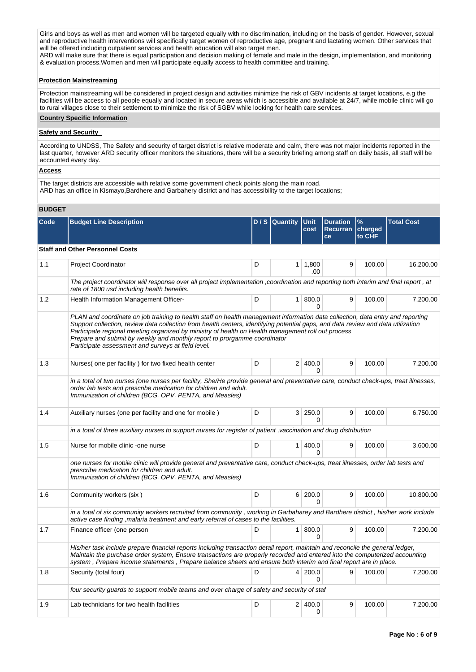Girls and boys as well as men and women will be targeted equally with no discrimination, including on the basis of gender. However, sexual and reproductive health interventions will specifically target women of reproductive age, pregnant and lactating women. Other services that will be offered including outpatient services and health education will also target men.

ARD will make sure that there is equal participation and decision making of female and male in the design, implementation, and monitoring & evaluation process.Women and men will participate equally access to health committee and training.

#### **Protection Mainstreaming**

Protection mainstreaming will be considered in project design and activities minimize the risk of GBV incidents at target locations, e.g the facilities will be access to all people equally and located in secure areas which is accessible and available at 24/7, while mobile clinic will go to rural villages close to their settlement to minimize the risk of SGBV while looking for health care services.

#### **Country Specific Information**

#### **Safety and Security**

According to UNDSS, The Safety and security of target district is relative moderate and calm, there was not major incidents reported in the last quarter, however ARD security officer monitors the situations, there will be a security briefing among staff on daily basis, all staff will be accounted every day.

#### **Access**

The target districts are accessible with relative some government check points along the main road. ARD has an office in Kismayo,Bardhere and Garbahery district and has accessibility to the target locations;

## **BUDGET**

| Code | <b>Budget Line Description</b>                                                                                                                                                                                                                                                                                                                                                                                                                                                                             |   | D / S   Quantity | <b>Unit</b><br>cost     | <b>Duration</b><br>Recurran   charged<br>ce | $\%$<br>to CHF | <b>Total Cost</b> |
|------|------------------------------------------------------------------------------------------------------------------------------------------------------------------------------------------------------------------------------------------------------------------------------------------------------------------------------------------------------------------------------------------------------------------------------------------------------------------------------------------------------------|---|------------------|-------------------------|---------------------------------------------|----------------|-------------------|
|      | <b>Staff and Other Personnel Costs</b>                                                                                                                                                                                                                                                                                                                                                                                                                                                                     |   |                  |                         |                                             |                |                   |
| 1.1  | Project Coordinator                                                                                                                                                                                                                                                                                                                                                                                                                                                                                        | D |                  | $1 \mid 1,800$<br>.00   | 9                                           | 100.00         | 16,200.00         |
|      | The project coordinator will response over all project implementation ,coordination and reporting both interim and final report, at<br>rate of 1800 usd including health benefits.                                                                                                                                                                                                                                                                                                                         |   |                  |                         |                                             |                |                   |
| 1.2  | Health Information Management Officer-                                                                                                                                                                                                                                                                                                                                                                                                                                                                     | D | 1 <sup>1</sup>   | 800.0<br>0              | 9                                           | 100.00         | 7,200.00          |
|      | PLAN and coordinate on job training to health staff on health management information data collection, data entry and reporting<br>Support collection, review data collection from health centers, identifying potential gaps, and data review and data utilization<br>Participate regional meeting organized by ministry of health on Health management roll out process<br>Prepare and submit by weekly and monthly report to prorgamme coordinator<br>Participate assessment and surveys at field level. |   |                  |                         |                                             |                |                   |
| 1.3  | Nurses (one per facility) for two fixed health center                                                                                                                                                                                                                                                                                                                                                                                                                                                      | D |                  | 2 400.0<br>O            | 9                                           | 100.00         | 7,200.00          |
|      | in a total of two nurses (one nurses per facility, She/He provide general and preventative care, conduct check-ups, treat illnesses,<br>order lab tests and prescribe medication for children and adult.<br>Immunization of children (BCG, OPV, PENTA, and Measles)                                                                                                                                                                                                                                        |   |                  |                         |                                             |                |                   |
| 1.4  | Auxiliary nurses (one per facility and one for mobile)                                                                                                                                                                                                                                                                                                                                                                                                                                                     | D | 3                | 250.0<br>$\Omega$       | 9                                           | 100.00         | 6,750.00          |
|      | in a total of three auxiliary nurses to support nurses for register of patient, vaccination and drug distribution                                                                                                                                                                                                                                                                                                                                                                                          |   |                  |                         |                                             |                |                   |
| 1.5  | Nurse for mobile clinic -one nurse                                                                                                                                                                                                                                                                                                                                                                                                                                                                         | D | 1 <sup>1</sup>   | 400.0<br>0              | 9                                           | 100.00         | 3,600.00          |
|      | one nurses for mobile clinic will provide general and preventative care, conduct check-ups, treat illnesses, order lab tests and<br>prescribe medication for children and adult.<br>Immunization of children (BCG, OPV, PENTA, and Measles)                                                                                                                                                                                                                                                                |   |                  |                         |                                             |                |                   |
| 1.6  | Community workers (six)                                                                                                                                                                                                                                                                                                                                                                                                                                                                                    | D |                  | 6 200.0<br><sup>0</sup> | 9                                           | 100.00         | 10,800.00         |
|      | in a total of six community workers recruited from community, working in Garbaharey and Bardhere district, his/her work include<br>active case finding, malaria treatment and early referral of cases to the facilities.                                                                                                                                                                                                                                                                                   |   |                  |                         |                                             |                |                   |
| 1.7  | Finance officer (one person                                                                                                                                                                                                                                                                                                                                                                                                                                                                                | D | 1 <sup>1</sup>   | 800.0<br>$\Omega$       | 9                                           | 100.00         | 7,200.00          |
|      | His/her task include prepare financial reports including transaction detail report, maintain and reconcile the general ledger,<br>Maintain the purchase order system, Ensure transactions are properly recorded and entered into the computerized accounting<br>system, Prepare income statements, Prepare balance sheets and ensure both interim and final report are in place.                                                                                                                           |   |                  |                         |                                             |                |                   |
| 1.8  | Security (total four)                                                                                                                                                                                                                                                                                                                                                                                                                                                                                      | D |                  | 4 200.0<br>0            | 9                                           | 100.00         | 7,200.00          |
|      | four security guards to support mobile teams and over charge of safety and security of staf                                                                                                                                                                                                                                                                                                                                                                                                                |   |                  |                         |                                             |                |                   |
| 1.9  | Lab technicians for two health facilities                                                                                                                                                                                                                                                                                                                                                                                                                                                                  | D | 2 <sup>1</sup>   | 400.0<br>0              | 9                                           | 100.00         | 7,200.00          |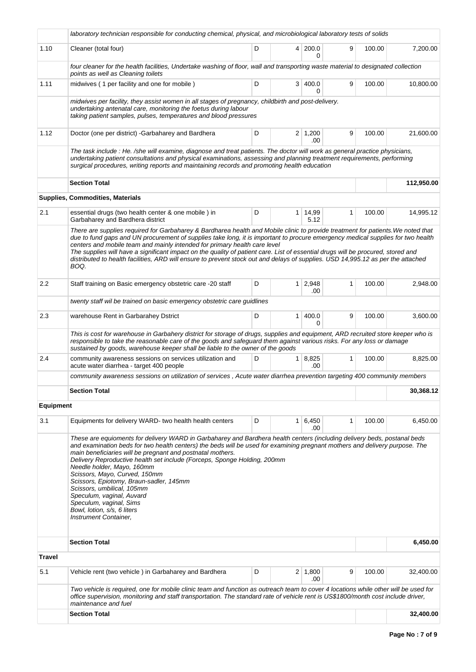|                  | laboratory technician responsible for conducting chemical, physical, and microbiological laboratory tests of solids                                                                                                                                                                                                                                                                                                                                                                                                                                                                                                                                       |   |                |                            |              |        |            |
|------------------|-----------------------------------------------------------------------------------------------------------------------------------------------------------------------------------------------------------------------------------------------------------------------------------------------------------------------------------------------------------------------------------------------------------------------------------------------------------------------------------------------------------------------------------------------------------------------------------------------------------------------------------------------------------|---|----------------|----------------------------|--------------|--------|------------|
| 1.10             | Cleaner (total four)                                                                                                                                                                                                                                                                                                                                                                                                                                                                                                                                                                                                                                      | D |                | 4 200.0<br>$\Omega$        | 9            | 100.00 | 7,200.00   |
|                  | four cleaner for the health facilities, Undertake washing of floor, wall and transporting waste material to designated collection<br>points as well as Cleaning toilets                                                                                                                                                                                                                                                                                                                                                                                                                                                                                   |   |                |                            |              |        |            |
| 1.11             | midwives (1 per facility and one for mobile)                                                                                                                                                                                                                                                                                                                                                                                                                                                                                                                                                                                                              | D |                | 3 400.0<br>0               | 9            | 100.00 | 10,800.00  |
|                  | midwives per facility, they assist women in all stages of pregnancy, childbirth and post-delivery.<br>undertaking antenatal care, monitoring the foetus during labour<br>taking patient samples, pulses, temperatures and blood pressures                                                                                                                                                                                                                                                                                                                                                                                                                 |   |                |                            |              |        |            |
| 1.12             | Doctor (one per district) - Garbaharey and Bardhera                                                                                                                                                                                                                                                                                                                                                                                                                                                                                                                                                                                                       | D |                | $2 \mid 1,200$<br>.00      | 9            | 100.00 | 21,600.00  |
|                  | The task include : He. /she will examine, diagnose and treat patients. The doctor will work as general practice physicians,<br>undertaking patient consultations and physical examinations, assessing and planning treatment requirements, performing<br>surgical procedures, writing reports and maintaining records and promoting health education                                                                                                                                                                                                                                                                                                      |   |                |                            |              |        |            |
|                  | <b>Section Total</b>                                                                                                                                                                                                                                                                                                                                                                                                                                                                                                                                                                                                                                      |   |                |                            |              |        | 112,950.00 |
|                  | <b>Supplies, Commodities, Materials</b>                                                                                                                                                                                                                                                                                                                                                                                                                                                                                                                                                                                                                   |   |                |                            |              |        |            |
| 2.1              | essential drugs (two health center & one mobile) in<br>Garbaharey and Bardhera district                                                                                                                                                                                                                                                                                                                                                                                                                                                                                                                                                                   | D | 1 <sup>1</sup> | 14,99<br>5.12              | $\mathbf{1}$ | 100.00 | 14,995.12  |
|                  | There are supplies required for Garbaharey & Bardharea health and Mobile clinic to provide treatment for patients. We noted that<br>due to fund gaps and UN procurement of supplies take long, it is important to procure emergency medical supplies for two health<br>centers and mobile team and mainly intended for primary health care level<br>The supplies will have a significant impact on the quality of patient care. List of essential drugs will be procured, stored and<br>distributed to health facilities, ARD will ensure to prevent stock out and delays of supplies. USD 14,995.12 as per the attached<br>BOQ.                          |   |                |                            |              |        |            |
| 2.2              | Staff training on Basic emergency obstetric care -20 staff                                                                                                                                                                                                                                                                                                                                                                                                                                                                                                                                                                                                | D |                | $1 \mid 2,948$<br>.00      | 1            | 100.00 | 2,948.00   |
|                  | twenty staff wil be trained on basic emergency obstetric care guidlines                                                                                                                                                                                                                                                                                                                                                                                                                                                                                                                                                                                   |   |                |                            |              |        |            |
| 2.3              | warehouse Rent in Garbarahey Dstrict                                                                                                                                                                                                                                                                                                                                                                                                                                                                                                                                                                                                                      | D | 1 <sup>1</sup> | 400.0<br>0                 | 9            | 100.00 | 3,600.00   |
|                  | This is cost for warehouse in Garbahery district for storage of drugs, supplies and equipment, ARD recruited store keeper who is<br>responsible to take the reasonable care of the goods and safeguard them against various risks. For any loss or damage<br>sustained by goods, warehouse keeper shall be liable to the owner of the goods                                                                                                                                                                                                                                                                                                               |   |                |                            |              |        |            |
| 2.4              | community awareness sessions on services utilization and<br>acute water diarrhea - target 400 people                                                                                                                                                                                                                                                                                                                                                                                                                                                                                                                                                      | D |                | $1 \mid 8,825$<br>.00      | 1            | 100.00 | 8,825.00   |
|                  | community awareness sessions on utilization of services, Acute water diarrhea prevention targeting 400 community members                                                                                                                                                                                                                                                                                                                                                                                                                                                                                                                                  |   |                |                            |              |        |            |
|                  | <b>Section Total</b>                                                                                                                                                                                                                                                                                                                                                                                                                                                                                                                                                                                                                                      |   |                |                            |              |        | 30,368.12  |
| <b>Equipment</b> |                                                                                                                                                                                                                                                                                                                                                                                                                                                                                                                                                                                                                                                           |   |                |                            |              |        |            |
| 3.1              | Equipments for delivery WARD- two health health centers                                                                                                                                                                                                                                                                                                                                                                                                                                                                                                                                                                                                   | D |                | $1 \mid 6,450 \mid$<br>.00 | 1            | 100.00 | 6,450.00   |
|                  | These are equioments for delivery WARD in Garbaharey and Bardhera health centers (including delivery beds, postanal beds<br>and examination beds for two health centers) the beds will be used for examining pregnant mothers and delivery purpose. The<br>main beneficiaries will be pregnant and postnatal mothers.<br>Delivery Reproductive health set include (Forceps, Sponge Holding, 200mm<br>Needle holder, Mayo, 160mm<br>Scissors, Mayo, Curved, 150mm<br>Scissors, Epiotomy, Braun-sadler, 145mm<br>Scissors, umbilical, 105mm<br>Speculum, vaginal, Auvard<br>Speculum, vaginal, Sims<br>Bowl, lotion, s/s, 6 liters<br>Instrument Container, |   |                |                            |              |        |            |
|                  | <b>Section Total</b>                                                                                                                                                                                                                                                                                                                                                                                                                                                                                                                                                                                                                                      |   |                |                            |              |        | 6,450.00   |
| <b>Travel</b>    |                                                                                                                                                                                                                                                                                                                                                                                                                                                                                                                                                                                                                                                           |   |                |                            |              |        |            |
| 5.1              | Vehicle rent (two vehicle) in Garbaharey and Bardhera                                                                                                                                                                                                                                                                                                                                                                                                                                                                                                                                                                                                     | D |                | $2 \mid 1,800$<br>.00      | 9            | 100.00 | 32,400.00  |
|                  | Two vehicle is required, one for mobile clinic team and function as outreach team to cover 4 locations while other will be used for<br>office supervision, monitoring and staff transportation. The standard rate of vehicle rent is US\$1800/month cost include driver,<br>maintenance and fuel                                                                                                                                                                                                                                                                                                                                                          |   |                |                            |              |        |            |
|                  | <b>Section Total</b>                                                                                                                                                                                                                                                                                                                                                                                                                                                                                                                                                                                                                                      |   |                |                            |              |        | 32,400.00  |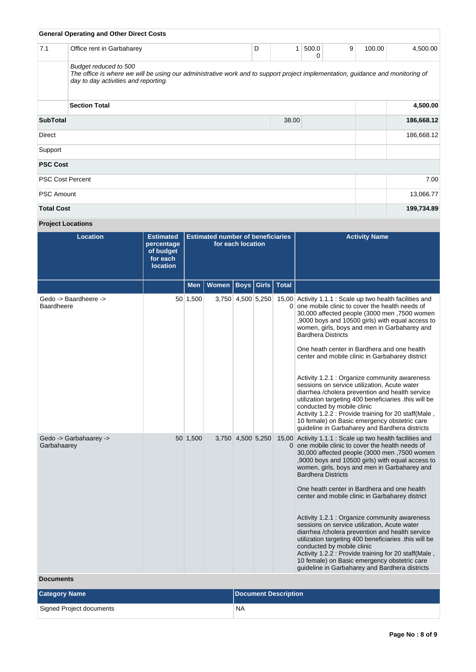|                   | <b>General Operating and Other Direct Costs</b>                                                                                                                                                 |   |       |            |   |        |            |
|-------------------|-------------------------------------------------------------------------------------------------------------------------------------------------------------------------------------------------|---|-------|------------|---|--------|------------|
| 7.1               | Office rent in Garbaharey                                                                                                                                                                       | D | 1     | 500.0<br>0 | 9 | 100.00 | 4,500.00   |
|                   | Budget reduced to 500<br>The office is where we will be using our administrative work and to support project implementation, guidance and monitoring of<br>day to day activities and reporting. |   |       |            |   |        |            |
|                   | <b>Section Total</b>                                                                                                                                                                            |   |       |            |   |        | 4,500.00   |
| <b>SubTotal</b>   |                                                                                                                                                                                                 |   | 38.00 |            |   |        | 186,668.12 |
| Direct            |                                                                                                                                                                                                 |   |       |            |   |        | 186,668.12 |
| Support           |                                                                                                                                                                                                 |   |       |            |   |        |            |
| <b>PSC Cost</b>   |                                                                                                                                                                                                 |   |       |            |   |        |            |
|                   | <b>PSC Cost Percent</b>                                                                                                                                                                         |   |       |            |   |        | 7.00       |
| <b>PSC Amount</b> |                                                                                                                                                                                                 |   |       |            |   |        | 13,066.77  |
| <b>Total Cost</b> |                                                                                                                                                                                                 |   |       |            |   |        | 199,734.89 |

# **Project Locations**

| <b>Location</b>                       | <b>Estimated</b><br>percentage<br>of budget<br>for each<br><b>location</b> | <b>Estimated number of beneficiaries</b><br>for each location |       |                   | <b>Activity Name</b> |              |                                                                                                                                                                                                                                                                                                                                                                                                                                                                                                                                                                                                                                                                                                                                                                                                      |
|---------------------------------------|----------------------------------------------------------------------------|---------------------------------------------------------------|-------|-------------------|----------------------|--------------|------------------------------------------------------------------------------------------------------------------------------------------------------------------------------------------------------------------------------------------------------------------------------------------------------------------------------------------------------------------------------------------------------------------------------------------------------------------------------------------------------------------------------------------------------------------------------------------------------------------------------------------------------------------------------------------------------------------------------------------------------------------------------------------------------|
|                                       |                                                                            | <b>Men</b>                                                    | Women | <b>Boys</b>       | Girls                | <b>Total</b> |                                                                                                                                                                                                                                                                                                                                                                                                                                                                                                                                                                                                                                                                                                                                                                                                      |
| Gedo -> Baardheere -><br>Baardheere   |                                                                            | 50 1,500                                                      |       | 3,750 4,500 5,250 |                      |              | 15,00 Activity 1.1.1 : Scale up two health facilities and<br>0 one mobile clinic to cover the health needs of<br>30,000 affected people (3000 men,7500 women<br>,9000 boys and 10500 girls) with equal access to<br>women, girls, boys and men in Garbaharey and<br><b>Bardhera Districts</b><br>One heath center in Bardhera and one health<br>center and mobile clinic in Garbaharey district<br>Activity 1.2.1 : Organize community awareness<br>sessions on service utilization, Acute water<br>diarrhea / cholera prevention and health service<br>utilization targeting 400 beneficiaries this will be<br>conducted by mobile clinic<br>Activity 1.2.2 : Provide training for 20 staff(Male,<br>10 female) on Basic emergency obstetric care<br>guideline in Garbaharey and Bardhera districts |
| Gedo -> Garbahaarey -><br>Garbahaarey |                                                                            | 50 1,500                                                      |       | 3,750 4,500 5,250 |                      |              | 15,00 Activity 1.1.1 : Scale up two health facilities and<br>0 one mobile clinic to cover the health needs of<br>30,000 affected people (3000 men, 7500 women<br>,9000 boys and 10500 girls) with equal access to<br>women, girls, boys and men in Garbaharey and<br><b>Bardhera Districts</b><br>One heath center in Bardhera and one health<br>center and mobile clinic in Garbaharey district<br>Activity 1.2.1 : Organize community awareness<br>sessions on service utilization, Acute water<br>diarrhea /cholera prevention and health service<br>utilization targeting 400 beneficiaries this will be<br>conducted by mobile clinic<br>Activity 1.2.2 : Provide training for 20 staff(Male,<br>10 female) on Basic emergency obstetric care<br>guideline in Garbaharey and Bardhera districts |

## **Documents**

| <b>Category Name</b>     | Document Description |
|--------------------------|----------------------|
| Signed Project documents | `NA                  |